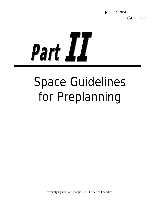GUIDELINES

Part II

# Space Guidelines for Preplanning

University System of Georgia – 8 – Office of Facilities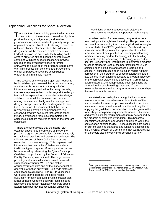# GUIDELINES

#### Preplanning Guidelines for Space Allocation

The objective of any building project, whether new construction or the renewal of an old facility, is to construction or the renewal of an old facility, is to provide the size, configuration, and relative juxtaposition of spaces needed to properly support an approved program objective. In striving to reach the optimum physical characteristics, the building's design team will be required to make a series of tradeoff decisions in order to fit the building on the owner's preferred site, to keep the overall project contained within its budget allocation, to provide needed or perceived lobby space or formal entryways, to house all of the program requirements, etc. This process can be a long and burdensome one for all parties, or it can be accomplished efficiently and in a timely manner.

The success of any capital project can frequently be linked directly to how well the project was started, and the start is dependent on the "quality" of information initially provided to the design team by the user's representatives. In this regard, the design team will be expected to provide alternative design solutions; these will be discussed and debated among the users and finally result in an approved design concept. In order for the designers to meet this expectation, it is incumbent that the user's representatives provide a comprehensive, well conceived program document that, among other things, identifies the room size parameters and adjacencies that are required to support the program objectives.

There are several ways that the user(s) can establish space need parameters as part of the project's program documentation. One way is to rely on traditional practices and previous experience. The following section of these Guidelines provides examples of this methodology. This is generalized information that can be helpful when considering traditional types of space. More sophistication can be introduced by referencing the *Space Planning Guidelines'* as published by the Council of Education Facility Planners, International. These guidelines project typical space allocations based on weekly student contact hours (WSCH) and station occupancy rate factors and by the higher education general information survey (HEGIS) code factors for each academic discipline. The CEFPI guidelines were used as the basis for the space-needs evaluation for each campus's physical master plan. Either of these two techniques will result in space allocations that reflect historically accurate space assignments but may not account for unique site

conditions or may not adequately project the requirements needed to support new technologies.

Another method for determining program-to-space relationships is through benchmarking. This process may be more time consuming than the analytical methodologies incorporated in the CEEPI guidelines. Benchmarking is, however, more likely to result in space allocations that represent current best practices in teaching and learning (and incorporating modern technology into the building program). The benchmarking methodology requires the user to: 1) identify peer institutions; 2) identify the programto-space standards used at the peer institutions; 3) visit selected peer institutions and assess programs and spaces; 4) question each peer institution regarding their perception of their program to space relationships; and 5) tabulate this information into a space-to-program allocation for the particular project being developed. Care must be taken to assure: 1) that appropriate peer institutions are included in the benchmarking study; and 2) the reasonableness of the final program-to-space relationships that result from this process.

As stated previously, the space guidelines included here are to be considered reasonable estimates of the space needed for selected purposes and not a definitive minimum or maximum that must be adhered to rigidly. In applying the guidelines, consideration must be given to the room shape, equipment requirements, access, utilization, and other functional requirements that may be required by the program or expected by tradition. This becomes especially critical when applying the guidelines within the context of an existing facility. These guidelines are based on current planning standards and functions applicable to the University System of Georgia and they warrant review on a periodic basis to verify their continued validity.

\_\_\_\_\_\_\_\_\_\_\_\_\_\_\_

<sup>1</sup> *The Space Planning Guidelines* are published by the Council of Educational Facility Planners, International, 29 W. Woodruff Ave., Columbus, Ohio, 43210, and are updated annually.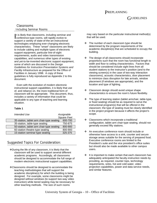# GUIDELINES

#### Classrooms Including Seminar Rooms

t is likely that classrooms, including seminar and It is likely that classrooms, including seminar and conference-type rooms, will rapidly evolve to support a variety of state-of-the-art instructional technologies employing ever-changing electronic characteristics. These "smart" classrooms are likely to include cabling and multiple types of electronic support equipment, particular line-of-sight requirements, audio and video transmission capabilities, and numerous other types of existing and yet-to-be-invented electronic support equipment, some of which are discussed in the *Design Guidelines for Instruction Presentation Systems and Facility Infrastructure* as prepared for the Office of Facilities in January 1998. A copy of these guidelines is fully reproduced as Appendix 2 to this document.

Even with the evolution of modern electronic instructional support capabilities, it is likely that use of, and reliance on, the more traditional form of classroom will be appropriate. This document, thus, includes a variety of information that could be applicable to any type of teaching and learning situation.

#### **Table 1**

| Intended Use                              | Assignable         |
|-------------------------------------------|--------------------|
|                                           | <b>Square Feet</b> |
| 35-station, tablet arm chair-type seating | 600-700            |
| 35-station, table-type seating            | 750-875            |
| 50-station, tablet arm chair-type seating | 800-900            |
| 60-station theatre-type seating           | 800-900            |
| 15-station seminar-type seating           | 325-375            |

## Suggested Topics For Consideration:

- During the life of any classroom, it is likely that the classroom will be used to support several differen t academic programs. Accordingly, all classrooms should be designed to accommodate the full range of modern electronic instructional support capabilities.
- Classrooms should be designed to accommodate the teaching methodologies that will support the academic discipline(s) for which the building is being designed. For example, some classrooms might be designed without windows (to support two-way video instruction) while tiered seating may be necessary for other teaching methods. The size of such rooms

may vary based on the particular instructional method(s) that will be used.

- $\div$  The number of each classroom type should be determined by the program requirements of the academic discipline(s) that are scheduled to occupy the building.
- $\cdot \cdot$  The design of all classrooms should incorporate proportions such that the room has functional length to width and floor to ceiling characteristics. Factors that should be considered include sight lines from all student stations to the instructor's position (and to the viewing screen(s) in the case of two-way interaction classrooms), acoustic characteristics, door placement to minimize class disruption for late arrivals, window placement (if windows are appropriate), and the location and type of lighting.
- ❖ Classroom design should avoid unique shape characteristics to ensure the room's future flexibility.
- $\div$  The type of learning station (tablet armchair, table-type, or fixed seating) should be as required to serve the instructional program(s) that will be offered in the classroom; the type of seating must be clearly identified in the project program because it affects the project's scope.
- ❖ Classrooms which incorporate a traditional configuration, tablet arm chair-type seating, should not generally exceed fifty stations.
- An executive conference room should include or otherwise have access to a sink, counter and secure storage areas suitable for the serving of prepared food. Executive conference rooms are limited to the President's suite and the vice president's office suites but should also be made available to other campus users.
- $\div$  It is important to make certain that each classroom has adequately anticipated the faculty-instruction needs by providing, as required, counter tops, technology requirements, sinks, hot and cold water, video projection capabilities, power and data service needs, and similar features.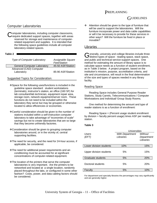# GUIDELINES

## Computer Laboratories

omputer laboratories, including computer classrooms, Computer laboratories, including computer classrooms,<br>Crequire dedicated support spaces, together with areas reserved for storage and maintenance of computerrelated equipment and supplies. It is intended that the following space guidelines include all computer laboratory-related spaces.

#### **Table 2**

| <b>Type of Computer Laboratory</b> | Assignable Square<br><b>Feet/Station</b> |
|------------------------------------|------------------------------------------|
| <b>General Computer Laboratory</b> | 45-50 ASF/Station                        |
| Advanced (CAD) Computer            |                                          |
| Laboratory                         | 85-90 ASF/Station                        |

Suggested Topics for Consideration:

- **\*** Space for the following uses/functions is included in the guideline space standard: student workstations (terminals), instructor's station, an office (160 SF) for lab consultant/lab technician, equipment repair area, storage room, network equipment/server room. These functions do not need to be included within the laboratory they serve but may be grouped or otherwise located to allow efficiencies or economies.
- Careful consideration should be given to the number of stations included within a self-instruction computer laboratory to take advantage of "economies of scale" savings but not to create laboratories that are so large that they become unfriendly factories.
- Consideration should be given to grouping computer laboratories around, or in the vicinity of, central supporting facilities.
- The need for security, and the need for 24-hour access, if applicable, be considered.
- The need for additional power requirements and airconditioning must be accounted for at significant concentrations of computer-related equipment.
- **\***The location of the printers that serve the computer laboratories is very important. Are the printers to be networked and located at a single location, randomly placed throughout the labs, or configured in some other fashion? Costs, power, and data cabling factors should be considered.

 Attention should be given to the type of furniture that will be used to support the laboratories. Will the furniture incorporate power and data cable capabilities or will it be necessary to provide for these services in other ways? Will the furniture be fixed in place or movable?

#### Libraries

enerally, university and college libraries include three Generally, university and college libraries include three<br>Gdistinct types of space: reading space, stack space, and public and technical service-support spaces. One method for estimating the amount of library space is to calculate space needs as a function of student enrollment, as in Table 3 below. A project program, based on the institution's mission, purpose, accreditation criteria, and site and circumstance, will result in the final determination of the size and types of spaces needed in any library facility.

#### Reading Space

Reading Space includes General Purpose Reader Stations, Study Carrels, Telecommunications / Computer Workstations and Individual/ Group Study Rooms.

One method for determining the amount and type of reader stations is as a function of enrollment:

Reading Space = (Percent usage student enrollment by division + faculty percent usage) times ASF per reading station.

#### **Table 3**

|                          | <b>Universities</b>    |            |  |
|--------------------------|------------------------|------------|--|
| Users                    | <b>With Department</b> | Without    |  |
| (EFT)                    | Libraries              | Department |  |
|                          |                        | Libraries  |  |
|                          |                        |            |  |
| Lower division students  | 10%                    | 15%        |  |
|                          |                        |            |  |
| Upper division students  | 5%                     | 15%        |  |
|                          |                        |            |  |
| <b>Graduate students</b> | 5%                     | 20%        |  |
|                          |                        |            |  |
| Doctoral students        | 5%                     | <b>20%</b> |  |
|                          |                        |            |  |
| Faculty                  | 5%                     | 10%        |  |

For department and specialty libraries the percentages may vary significantly and are generally higher.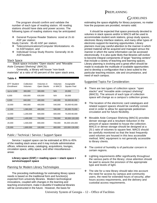# GUIDELINES

 The program should confirm and validate the number of each type of reading station. All reading stations should have data and power access. The following types of reading stations may be anticipated:

 General Purpose Reader Stations: sized at 25-30 ASF per station;

Study Carrels: 35-40 ASF per station;

- Telecommunications/Computer Workstations: 45- 50 ASF/station; and
- Individual/ Group Study Rooms: Generally 30-35 ASF/student.

#### Stack Space

Stack space includes "Open stacks" and "Movable Aisle Compact Shelving" (MACS).

Generally, a library will house "non-book materials" at a ratio of 40 percent of the open stack area.

#### **Table 4**

| <b>EFT Student</b><br>Enrollment | Collection<br>Volumes | Volumes in<br>Open Stacks | Volumes<br>in MACS | Assignable<br>Square Feet |
|----------------------------------|-----------------------|---------------------------|--------------------|---------------------------|
| Up to 3,000                      | 300,000               | 300,000                   | N/A                | 20,000                    |
| 6.000                            | 630,000               | 630,000                   | N/A                | 30,000                    |
| 8,000                            | 840,000               | 400,000                   | 440,000            | 50,000-60,000             |
| 10.000                           | 940,000               | 400,000                   | 540,000            | 55,000-65,000             |
| 12,000                           | 1,060,000             | 480,000                   | 580,000            | 65,000-70,000             |
| 14.000                           | 1.200.000             | 600.000                   | 600,000            | 75.000-80.000             |
| 18,000                           | 1,400,000             | 700.000                   | 700,000            | 90,000-100,000            |
| 20.000                           | 1,500,000             | 800.000                   | 700,000            | 95.000-105.000            |
| 25,000                           | 1.800.000             | 100.000                   | 800.000            | 120.000-130.000           |

#### Public / Technical / Service / Support Space

Service / support space can be estimated at 35% to 45% of the reading stack areas and it may include administrative offices, reference areas, cataloging, acquisitions, lounges, circulation space, utility space, and other miscellaneous areas:

#### **Library space (GSF) = reading space + stack space + service/support space**

#### Planning for Modern Library Technologies

The preceding methodology for estimating library space needs is based on the traditional form and function(s) expected from university libraries. Modern technological innovations, coupled with changes in the learning and teaching environment, make it doubtful if traditional libraries will be constructed in the future. However, the basis for

estimating the space eligibility for library purposes, no matter how the purposes are provided, remains valid.

It should be expected that space previously devoted to volumes in stack spaces and/or in MACS will be used to accommodate student work stations, group study spaces, electronic library interface stations, and many other types of electronic-support-for-learning opportunities. Library planners must pay careful attention to the manner in which printed material will be acquired and managed versus the manner in which the same information can be accessed electronically. It is also quite likely that libraries will evolve to become integral components of larger "learning centers" that include a variety of teaching and learning spaces. Library planning is evolving and a great effort should be made to evaluate the multitude of available opportunities and to develop a configuration that is best suited to the particular teaching mission, site and circumstance, and need of each campus.

#### Suggested Topics For Consideration:

- There are two types of collection space: "open stacks" and "movable aisle compact shelving" (MACS). The amount of each type of collection space will change as a campus's collection grows.
- $\div$  The location of the electronic card catalogues and related support spaces should be carefully considered in order to allow for appropriate pedestrian circulation and for future flexibility.
- Movable Aisle Compact Shelving (MACS) provides denser storage and a resultant reduction in the amount of space needed to house the collection. MACS or dense storage should be designed at a 25:1 ratio of volumes to square feet. MACS should be carefully monitored so that the least frequently used volumes are housed in this less accessible method. MAC equipment is not generally accessible to library clients.
- $\cdot \cdot$  The control of humidity is of particular concern in certain regions.
- $\div$  Lighting requirements differ significantly throughout the various parts of the library; close attention should be paid to assure the provision of the appropriate type and levels of light.
- $\div$  The site for a new library should take into account the need for access by campus and community users, the need for extended hours of security, after hours access requirements, and the delivery and custodial access requirements.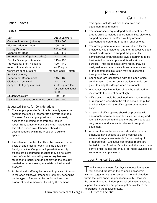# GUIDELINES

## Office Spaces

#### **Table 5**

| Use                                  | Size in Square Ft        |  |
|--------------------------------------|--------------------------|--|
| Campus President (private)           | $225 - 300$              |  |
| Vice President or Dean               | $200 - 250$              |  |
| <b>Library Director</b>              | $150 - 200$              |  |
| Department Head                      | 125 – 175                |  |
| Professional Staff (private office)  | $110 - 125$              |  |
| Faculty Office (private office)      | $115 - 130$              |  |
| Professional Staff, 4 stations       | $400 - 440$              |  |
| (open office environment or          | (+ 80 sq. ft.            |  |
| workroom configuration)              | for each add'l<br>staff) |  |
| Senior Secretary or                  |                          |  |
| Department Receptionist              | $145 - 160$              |  |
| Clerical or Technical                | $100 - 120$              |  |
| Support Staff (single office)        | (+60 square feet         |  |
|                                      | for each additional      |  |
|                                      | staff)                   |  |
| Student Assistant                    | $60 - 80$                |  |
| 15-station executive conference room | $350 - 400$              |  |

Suggested Topics for Consideration:

- $\div$  The campus president's office is the only space on campus that should incorporate a private restroom. The need for a campus president to have ready access to a meeting or conference room is recognized; space for such use is not included in this office space calculation but should be accommodated within the President's suite of spaces.
- $\div$  It is intended that faculty offices be provided on the basis of one office for each full-time equivalent faculty position. Gang or multiple-station faculty offices are discouraged because they do not allow the confidential counseling necessary between student and faculty and do not provide the security needed to protect testing materials or intellectual property.
- Professional staff may be housed in private offices or in the open office/workroom environment, depending on the type of function to be performed and the organizational framework utilized by the campus.

This space includes all circulation, files and equipment requirements.

- The senior secretary or department receptionist's area is sized to include departmental files, electronic support equipment, and/or a waiting area as appropriate to serve the program requirements.
- $\div$  The arrangement of administrative offices for the president, vice presidents, and their respective staffs should be designed to support the particular administrative organizational style determined to be best suited to the campus and its educational purpose. Thus an administrative facility may be designed to accommodate all central administration, or the central administration may be dispersed throughout the academy.
- $\div$  Economies are associated with the open office configuration. Careful consideration should be given to using this design when appropriate.
- Whenever possible, offices should be designed to incorporate the use of natural light.
- ❖ Office suites should be designed to include waiting or reception areas when the office serves the public or when clients visit the office space on a regular basis.
- $\div$  Clusters of office spaces should be provided with appropriate service-support facilities, including work rooms incorporating mail and storage service areas, copy rooms, and spaces for electronic support equipment.
- An executive conference room should include or otherwise have access to a sink, counter and secure storage areas suitable for the serving of prepared food. Executive conference rooms are limited to the President's suite and the vice president's office suites but should be made available to serve other campus users.

## Indoor Physical Education

The instructional need for physical education space will depend greatly on the campus's academic mission, together with the campus's site and situation within the local and/or regional community. However, the general need for indoor physical education space to support the academic program might be similar to that referenced in the following table.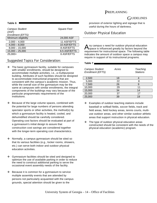# GUIDELINES

#### **Table 6**

| <b>Campus Student</b><br>(ASE)<br>Enrollment (EFTS) | Square Feet  |  |
|-----------------------------------------------------|--------------|--|
| Minimum eligibility                                 | 24,000 ASF   |  |
| $2,000 - 4,000$                                     | 11 ASF/EFTS  |  |
| $4,000 - 8,000$                                     | 10 ASF/EFTS  |  |
| $8,000 - 15,000$                                    | 8 ASF/EFTS   |  |
| $15,000 - 25,000$                                   | 6.5 ASF/EFTS |  |
| $25,000+$                                           | 6 ASF/EFTS   |  |

## Suggested Topics For Consideration:

- $\cdot \cdot$  The basic gymnasium facility, suitable for campuses with smaller enrollments, should be designed to accommodate multiple activities, i.e., a multipurpose building. Attributes of such facilities should be designed to accommodate instructional programs that are consistent with the campus's academic mission. Thus, while the overall size of the gymnasium may be the same at campuses with similar enrollments, the integral components of the buildings may vary because of the particular programmatic requirements of the institutions.
- $\div$  Because of the large volume spaces, combined with the potential for large numbers of persons attending spectator sports or other activities, the method(s) by which a gymnasium facility is heated, cooled, and dehumidified should be carefully considered. Operating cost factors should be evaluated at part of a gymnasium's initial design to assure that construction cost savings are considered together with the longer-term operating cost characteristics.
- $\div$  Normally, a campus gymnasium should be sited so that its various facilities (e.g., locker rooms, showers, etc.) can serve both indoor and outdoor physical education activities.
- ❖ Gymnasium facilities should be sited and designed to optimize the use of available parking in order to reduce the need to construct additional parking to serve the occasional event assembly needs of the facility.
- $\div$  Because it is common for a gymnasium to service multiple assembly events that are attended by persons not particularly acquainted with the campus grounds, special attention should be given to the

provision of exterior lighting and signage that is useful during the hours of darkness.

## Outdoor Physical Education

**Table 7** 

ny campus s need for outdoor physical education  $A$ ny campus s need for outdoor physical education<br>Aspace is influenced greatly by factors beyond the requirement for instructional space. The following table indicates the amount of outdoor space a campus may require in support of its instructional programs.

| <b>Campus Student</b><br>Enrollment (EFTS) | Acres | Teaching<br><b>Stations</b> |
|--------------------------------------------|-------|-----------------------------|
| 2,500                                      | 18    |                             |
| 5,000                                      | 22    | 8                           |
| 7,500                                      | 26    | 9                           |
| 10,000                                     | 29    | 11                          |
| 15,000                                     | 34    | 14                          |
| 20,000                                     | 37    | 17                          |
| 25,000                                     | 39    | 19                          |

- Examples of outdoor teaching stations include baseball or softball fields, soccer fields, track and field areas, field hockey areas, tennis courts, multiuse outdoor areas, and other similar outdoor athletic areas that support instruction in physical education.
- $\div$  The type of outdoor physical education areas constructed should be consistent with the needs of the physical education (academic) program.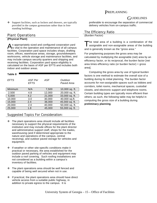# GUIDELINES

 Support facilities, such as lockers and showers, are typically provided in the campus gymnasium rather than in freestanding buildings.

## Plant Operations

#### **(Physical Plant)**

n appropriately sized and configured corporation yard is vital to the operation and maintenance of all campus facilities. Corporation yard space includes shops, drafting room, offices, warehouse areas, storage, groundskeepers workrooms, vehicle storage and maintenance facilities, and may include campus security quarters and shipping and receiving facilities. Corporation yard space eligibility is calculated on the basis of ASF per EFTS and includes both indoor and outdoor areas. An appropriately sized and configured corporation yard<br>A is vital to the operation and maintenance of all campus

#### **Table 8**

| EFTS    | ASF Per<br><b>EFTS</b> | ASF    | Outdoor<br>Paved Area |
|---------|------------------------|--------|-----------------------|
| Minimum | N/A                    | 7,500  | 10,000 sq. ft.        |
| 2,500   | 4.8                    | 12,000 | 20,000 sq. ft.        |
| 5,000   | 4.2                    | 21,000 | 33,000 sq. ft.        |
| 10,000  | 3.0                    | 30,000 | 40,000 sq.ft.         |
| 15,000  | 2.4                    | 36,000 | 45,000 sq. ft.        |
| 20,000  | 2.0                    | 40,000 | 50,000 sq. ft.        |
| 25,000  | 1.8                    | 45,000 | 55,000 sq. ft.        |

## Suggested Topics For Consideration:

- $\div$  The plant operations area should include all facilities necessary to support the physical requirements of the institution and may include offices for the plant director and administrative support staff, shops for the trades, warehousing (and if determined appropriate to the nature and operations of the campus, central receiving), and outdoor paved storage for vehicles and equipment.
- $\div$  If weather or other site-specific conditions make it practical or necessary, the area established for the outdoor paved parking of vehicles and equipment may include a roof covering. Such roofing installations are not considered as a building within a campus's inventory of facilities.
- $\div$  The plant operations area should be well fenced and capable of being well secured when not in use.
- $\div$  If practical, the plant operations area should have direct vehicle access from a suitable public highway, in addition to private egress to the campus. It is

preferable to encourage the separation of commercial delivery vehicles from on-campus traffic.

## The Efficiency Ratio

(Burden Factor)

he total area of a building is a combination of the assignable and non-assignable areas of the building and is generally known as the "gross area."

For preplanning purposes the gross area may be calculated by multiplying the assignable (net) area by an efficiency factor, or its reciprocal, the burden factor [net area times efficiency ratio (or burden factor) = gross area].

Computing the gross area by use of typical burden factors is one method to estimate the overall size of a building during its initial planning. The burden factor accounts for non-assignable spaces such as lobbies and corridors, toilet rooms, mechanical spaces, custodial closets, and electronic support and telephone rooms. Certain building types are typically more efficient than others; as such, the following table may be helpful in computing the gross size of a building during **preliminary planning**.